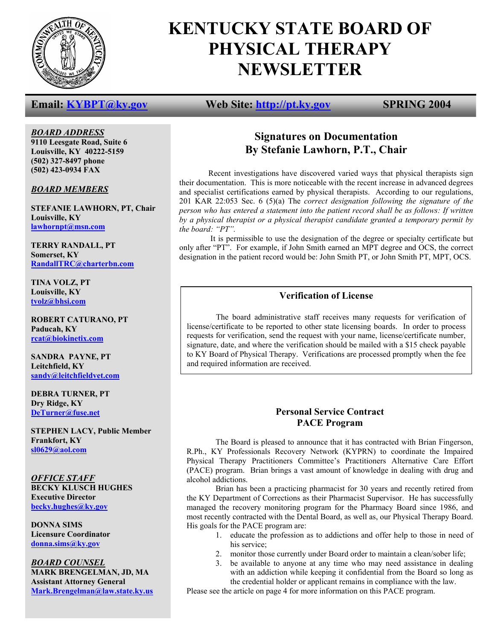

# **KENTUCKY STATE BOARD OF PHYSICAL THERAPY NEWSLETTER**

*BOARD ADDRESS* **9110 Leesgate Road, Suite 6 Louisville, KY 40222-5159 (502) 327-8497 phone (502) 423-0934 FAX** 

*BOARD MEMBERS*

**STEFANIE LAWHORN, PT, Chair Louisville, KY lawhornpt@msn.com**

**TERRY RANDALL, PT Somerset, KY RandallTRC@charterbn.com**

**TINA VOLZ, PT Louisville, KY tvolz@bhsi.com**

**ROBERT CATURANO, PT Paducah, KY rcat@biokinetix.com**

**SANDRA PAYNE, PT Leitchfield, KY sandy@leitchfieldvet.com**

**DEBRA TURNER, PT Dry Ridge, KY DeTurner@fuse.net**

**STEPHEN LACY, Public Member Frankfort, KY sl0629@aol.com**

*OFFICE STAFF* **BECKY KLUSCH HUGHES Executive Director becky.hughes@ky.gov**

**DONNA SIMS Licensure Coordinator donna.sims@ky.gov**

*BOARD COUNSEL* **MARK BRENGELMAN, JD, MA Assistant Attorney General Mark.Brengelman@law.state.ky.us**

## **Email:** KYBPT@ky.gov Web Site: http://pt.ky.gov SPRING 2004

# **Signatures on Documentation By Stefanie Lawhorn, P.T., Chair**

Recent investigations have discovered varied ways that physical therapists sign their documentation. This is more noticeable with the recent increase in advanced degrees and specialist certifications earned by physical therapists. According to our regulations, 201 KAR 22:053 Sec. 6 (5)(a) The *correct designation following the signature of the person who has entered a statement into the patient record shall be as follows: If written by a physical therapist or a physical therapist candidate granted a temporary permit by the board: "PT".* 

It is permissible to use the designation of the degree or specialty certificate but only after "PT". For example, if John Smith earned an MPT degree and OCS, the correct designation in the patient record would be: John Smith PT, or John Smith PT, MPT, OCS.

### **Verification of License**

 The board administrative staff receives many requests for verification of license/certificate to be reported to other state licensing boards. In order to process requests for verification, send the request with your name, license/certificate number, signature, date, and where the verification should be mailed with a \$15 check payable to KY Board of Physical Therapy. Verifications are processed promptly when the fee and required information are received.

### **Personal Service Contract PACE Program**

 The Board is pleased to announce that it has contracted with Brian Fingerson, R.Ph., KY Professionals Recovery Network (KYPRN) to coordinate the Impaired Physical Therapy Practitioners Committee's Practitioners Alternative Care Effort (PACE) program. Brian brings a vast amount of knowledge in dealing with drug and alcohol addictions.

 Brian has been a practicing pharmacist for 30 years and recently retired from the KY Department of Corrections as their Pharmacist Supervisor. He has successfully managed the recovery monitoring program for the Pharmacy Board since 1986, and most recently contracted with the Dental Board, as well as, our Physical Therapy Board. His goals for the PACE program are:

- 1. educate the profession as to addictions and offer help to those in need of his service:
- 2. monitor those currently under Board order to maintain a clean/sober life;
- 3. be available to anyone at any time who may need assistance in dealing with an addiction while keeping it confidential from the Board so long as the credential holder or applicant remains in compliance with the law.

Please see the article on page 4 for more information on this PACE program.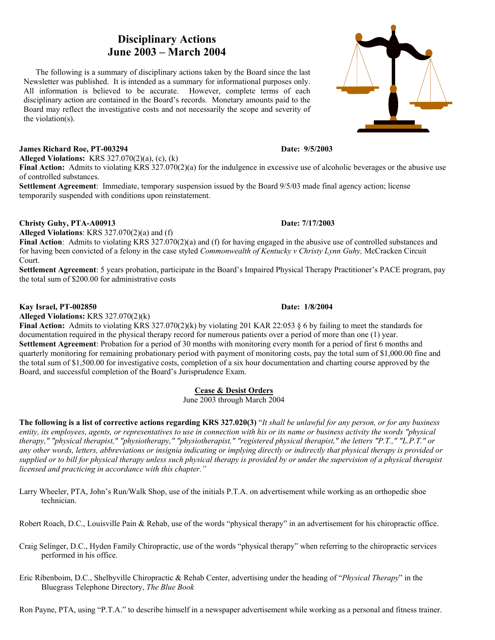# **Disciplinary Actions June 2003 – March 2004**

 The following is a summary of disciplinary actions taken by the Board since the last Newsletter was published. It is intended as a summary for informational purposes only. All information is believed to be accurate. However, complete terms of each disciplinary action are contained in the Board's records. Monetary amounts paid to the Board may reflect the investigative costs and not necessarily the scope and severity of the violation(s).

### **James Richard Roe, PT-003294 Date: 9/5/2003**

**Alleged Violations:** KRS 327.070(2)(a), (c), (k)

**Final Action:** Admits to violating KRS 327.070(2)(a) for the indulgence in excessive use of alcoholic beverages or the abusive use of controlled substances.

**Settlement Agreement**: Immediate, temporary suspension issued by the Board 9/5/03 made final agency action; license temporarily suspended with conditions upon reinstatement.

**Alleged Violations**: KRS 327.070(2)(a) and (f)

**Final Action**: Admits to violating KRS 327.070(2)(a) and (f) for having engaged in the abusive use of controlled substances and for having been convicted of a felony in the case styled *Commonwealth of Kentucky v Christy Lynn Guhy,* McCracken Circuit Court.

**Settlement Agreement**: 5 years probation, participate in the Board's Impaired Physical Therapy Practitioner's PACE program, pay the total sum of \$200.00 for administrative costs

#### **Kay Israel, PT-002850 Date: 1/8/2004**

**Alleged Violations:** KRS 327.070(2)(k)

**Final Action:** Admits to violating KRS 327.070(2)(k) by violating 201 KAR 22:053 § 6 by failing to meet the standards for documentation required in the physical therapy record for numerous patients over a period of more than one (1) year. **Settlement Agreement**: Probation for a period of 30 months with monitoring every month for a period of first 6 months and quarterly monitoring for remaining probationary period with payment of monitoring costs, pay the total sum of \$1,000.00 fine and the total sum of \$1,500.00 for investigative costs, completion of a six hour documentation and charting course approved by the Board, and successful completion of the Board's Jurisprudence Exam.

#### **Cease & Desist Orders**

June 2003 through March 2004

**The following is a list of corrective actions regarding KRS 327.020(3)** "*It shall be unlawful for any person, or for any business entity, its employees, agents, or representatives to use in connection with his or its name or business activity the words "physical therapy," "physical therapist," "physiotherapy," "physiotherapist," "registered physical therapist," the letters "P.T.," "L.P.T." or any other words, letters, abbreviations or insignia indicating or implying directly or indirectly that physical therapy is provided or supplied or to bill for physical therapy unless such physical therapy is provided by or under the supervision of a physical therapist licensed and practicing in accordance with this chapter."* 

Larry Wheeler, PTA, John's Run/Walk Shop, use of the initials P.T.A. on advertisement while working as an orthopedic shoe technician.

Robert Roach, D.C., Louisville Pain & Rehab, use of the words "physical therapy" in an advertisement for his chiropractic office.

Craig Selinger, D.C., Hyden Family Chiropractic, use of the words "physical therapy" when referring to the chiropractic services performed in his office.

Eric Ribenboim, D.C., Shelbyville Chiropractic & Rehab Center, advertising under the heading of "*Physical Therapy*" in the Bluegrass Telephone Directory, *The Blue Book*

Ron Payne, PTA, using "P.T.A." to describe himself in a newspaper advertisement while working as a personal and fitness trainer.

**Christy Guhy, PTA-A00913 Date: 7/17/2003** 

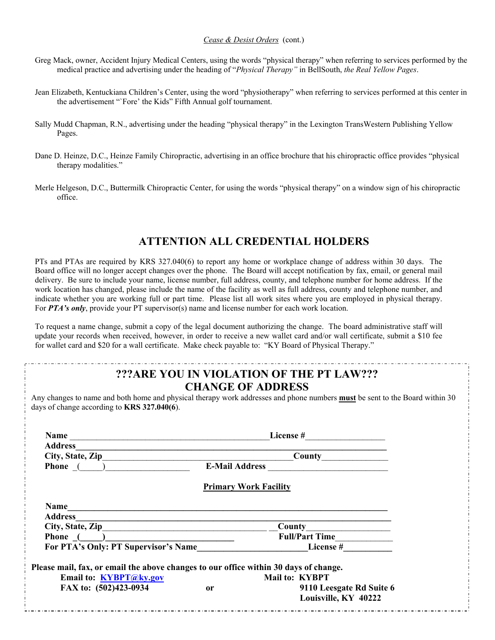#### *Cease & Desist Orders* (cont.)

- Greg Mack, owner, Accident Injury Medical Centers, using the words "physical therapy" when referring to services performed by the medical practice and advertising under the heading of "*Physical Therapy"* in BellSouth, *the Real Yellow Pages*.
- Jean Elizabeth, Kentuckiana Children's Center, using the word "physiotherapy" when referring to services performed at this center in the advertisement "`Fore' the Kids" Fifth Annual golf tournament.
- Sally Mudd Chapman, R.N., advertising under the heading "physical therapy" in the Lexington TransWestern Publishing Yellow Pages.
- Dane D. Heinze, D.C., Heinze Family Chiropractic, advertising in an office brochure that his chiropractic office provides "physical therapy modalities."
- Merle Helgeson, D.C., Buttermilk Chiropractic Center, for using the words "physical therapy" on a window sign of his chiropractic office.

# **ATTENTION ALL CREDENTIAL HOLDERS**

PTs and PTAs are required by KRS 327.040(6) to report any home or workplace change of address within 30 days. The Board office will no longer accept changes over the phone. The Board will accept notification by fax, email, or general mail delivery. Be sure to include your name, license number, full address, county, and telephone number for home address. If the work location has changed, please include the name of the facility as well as full address, county and telephone number, and indicate whether you are working full or part time. Please list all work sites where you are employed in physical therapy. For **PTA's only**, provide your PT supervisor(s) name and license number for each work location.

To request a name change, submit a copy of the legal document authorizing the change. The board administrative staff will update your records when received, however, in order to receive a new wallet card and/or wall certificate, submit a \$10 fee for wallet card and \$20 for a wall certificate. Make check payable to: "KY Board of Physical Therapy."

# **???ARE YOU IN VIOLATION OF THE PT LAW??? CHANGE OF ADDRESS**

Any changes to name and both home and physical therapy work addresses and phone numbers **must** be sent to the Board within 30 days of change according to **KRS 327.040(6**).

| <b>Name</b>                                                                                                                              |                       | License #                    |  |
|------------------------------------------------------------------------------------------------------------------------------------------|-----------------------|------------------------------|--|
| <b>Address</b>                                                                                                                           |                       |                              |  |
| City, State, Zip                                                                                                                         | County                |                              |  |
| Phone ( )                                                                                                                                | <b>E-Mail Address</b> |                              |  |
|                                                                                                                                          |                       | <b>Primary Work Facility</b> |  |
| <b>Name</b>                                                                                                                              |                       |                              |  |
| Address                                                                                                                                  |                       |                              |  |
| City, State, Zip<br><u> 1980 - Jan Barat, margaret eta bat erroman erroman erroman erroman erroman erroman erroman erroman erroman e</u> |                       | County                       |  |
| Phone $($                                                                                                                                |                       | <b>Full/Part Time</b>        |  |
| For PTA's Only: PT Supervisor's Name                                                                                                     |                       | <b>License</b> #             |  |
| Please mail, fax, or email the above changes to our office within 30 days of change.                                                     |                       |                              |  |
| Email to: KYBPT@ky.gov                                                                                                                   |                       | Mail to: KYBPT               |  |
| FAX to: (502)423-0934                                                                                                                    | <sub>or</sub>         | 9110 Leesgate Rd Suite 6     |  |
|                                                                                                                                          |                       | Louisville, KY 40222         |  |